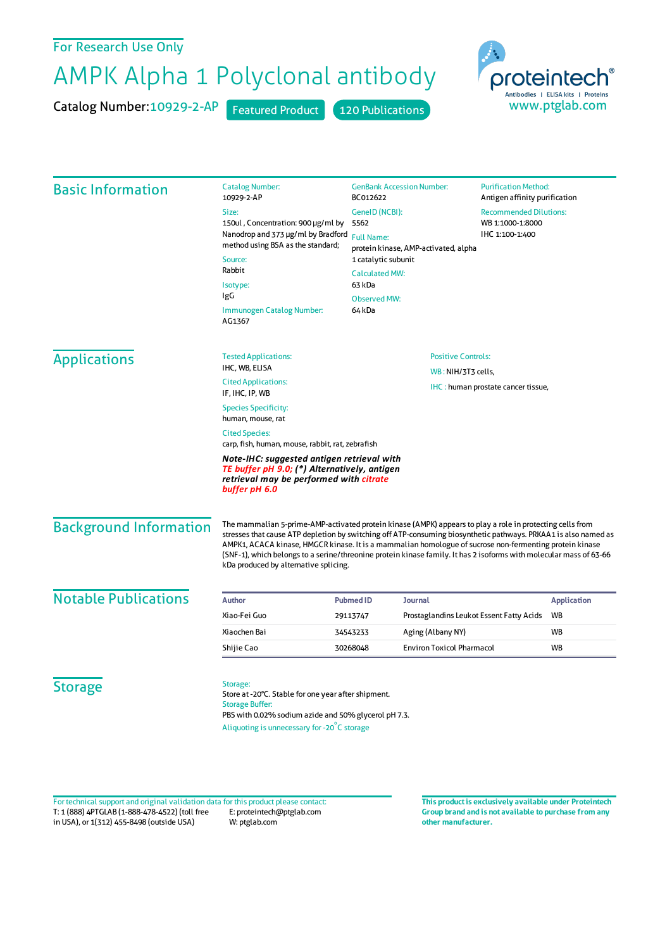## For Research Use Only

## AMPK Alpha 1 Polyclonal antibody

Catalog Number: 10929-2-AP Featured Product 120 Publications



| <b>Basic Information</b> | <b>Catalog Number:</b><br>10929-2-AP                                                                                                                                                                                                                                                    | <b>GenBank Accession Number:</b><br>BC012622                                                                                                                                              |                                          | <b>Purification Method:</b><br>Antigen affinity purification         |  |                               |                                                                                                                                                                                                                                                                                                                                                                                                                                                                                                        |                             |  |  |                    |
|--------------------------|-----------------------------------------------------------------------------------------------------------------------------------------------------------------------------------------------------------------------------------------------------------------------------------------|-------------------------------------------------------------------------------------------------------------------------------------------------------------------------------------------|------------------------------------------|----------------------------------------------------------------------|--|-------------------------------|--------------------------------------------------------------------------------------------------------------------------------------------------------------------------------------------------------------------------------------------------------------------------------------------------------------------------------------------------------------------------------------------------------------------------------------------------------------------------------------------------------|-----------------------------|--|--|--------------------|
|                          | Size:<br>150ul, Concentration: 900 µg/ml by<br>Nanodrop and 373 µg/ml by Bradford<br>method using BSA as the standard;<br>Source:<br>Rabbit<br>Isotype:<br>IgG<br><b>Immunogen Catalog Number:</b><br>AG1367                                                                            | GenelD (NCBI):<br>5562<br><b>Full Name:</b><br>protein kinase, AMP-activated, alpha<br>1 catalytic subunit<br><b>Calculated MW:</b><br>63 kDa<br><b>Observed MW:</b><br>64 <sub>kDa</sub> |                                          | <b>Recommended Dilutions:</b><br>WB 1:1000-1:8000<br>IHC 1:100-1:400 |  |                               |                                                                                                                                                                                                                                                                                                                                                                                                                                                                                                        |                             |  |  |                    |
| <b>Applications</b>      | <b>Tested Applications:</b><br>IHC, WB, ELISA                                                                                                                                                                                                                                           | <b>Positive Controls:</b>                                                                                                                                                                 |                                          |                                                                      |  |                               |                                                                                                                                                                                                                                                                                                                                                                                                                                                                                                        |                             |  |  |                    |
|                          | <b>Cited Applications:</b><br>IF, IHC, IP, WB                                                                                                                                                                                                                                           | WB: NIH/3T3 cells,<br>IHC: human prostate cancer tissue,                                                                                                                                  |                                          |                                                                      |  |                               |                                                                                                                                                                                                                                                                                                                                                                                                                                                                                                        |                             |  |  |                    |
|                          | <b>Species Specificity:</b><br>human, mouse, rat<br><b>Cited Species:</b><br>carp, fish, human, mouse, rabbit, rat, zebrafish<br>Note-IHC: suggested antigen retrieval with<br>TE buffer pH 9.0; (*) Alternatively, antigen<br>retrieval may be performed with citrate<br>buffer pH 6.0 |                                                                                                                                                                                           |                                          |                                                                      |  |                               |                                                                                                                                                                                                                                                                                                                                                                                                                                                                                                        |                             |  |  |                    |
|                          |                                                                                                                                                                                                                                                                                         |                                                                                                                                                                                           |                                          |                                                                      |  | <b>Background Information</b> | The mammalian 5-prime-AMP-activated protein kinase (AMPK) appears to play a role in protecting cells from<br>stresses that cause ATP depletion by switching off ATP-consuming biosynthetic pathways. PRKAA1 is also named as<br>AMPK1, ACACA kinase, HMGCR kinase. It is a mammalian homologue of sucrose non-fermenting protein kinase<br>(SNF-1), which belongs to a serine/threonine protein kinase family. It has 2 isoforms with molecular mass of 63-66<br>kDa produced by alternative splicing. |                             |  |  |                    |
|                          |                                                                                                                                                                                                                                                                                         |                                                                                                                                                                                           |                                          |                                                                      |  | <b>Notable Publications</b>   | Author                                                                                                                                                                                                                                                                                                                                                                                                                                                                                                 | <b>Pubmed ID</b><br>Journal |  |  | <b>Application</b> |
| Xiao-Fei Guo             | 29113747                                                                                                                                                                                                                                                                                |                                                                                                                                                                                           | Prostaglandins Leukot Essent Fatty Acids | WB                                                                   |  |                               |                                                                                                                                                                                                                                                                                                                                                                                                                                                                                                        |                             |  |  |                    |
| Xiaochen Bai             | 34543233                                                                                                                                                                                                                                                                                | Aging (Albany NY)                                                                                                                                                                         |                                          | <b>WB</b>                                                            |  |                               |                                                                                                                                                                                                                                                                                                                                                                                                                                                                                                        |                             |  |  |                    |
| Shijie Cao               | 30268048                                                                                                                                                                                                                                                                                | <b>Environ Toxicol Pharmacol</b>                                                                                                                                                          |                                          | WB                                                                   |  |                               |                                                                                                                                                                                                                                                                                                                                                                                                                                                                                                        |                             |  |  |                    |
| <b>Storage</b>           | Storage:<br>Store at -20°C. Stable for one year after shipment.<br><b>Storage Buffer:</b><br>PBS with 0.02% sodium azide and 50% glycerol pH 7.3.<br>Aliquoting is unnecessary for -20°C storage                                                                                        |                                                                                                                                                                                           |                                          |                                                                      |  |                               |                                                                                                                                                                                                                                                                                                                                                                                                                                                                                                        |                             |  |  |                    |

T: 1 (888) 4PTGLAB (1-888-478-4522) (toll free in USA), or 1(312) 455-8498 (outside USA) E: proteintech@ptglab.com W: ptglab.com Fortechnical support and original validation data forthis product please contact: **This productis exclusively available under Proteintech**

**Group brand and is not available to purchase from any other manufacturer.**